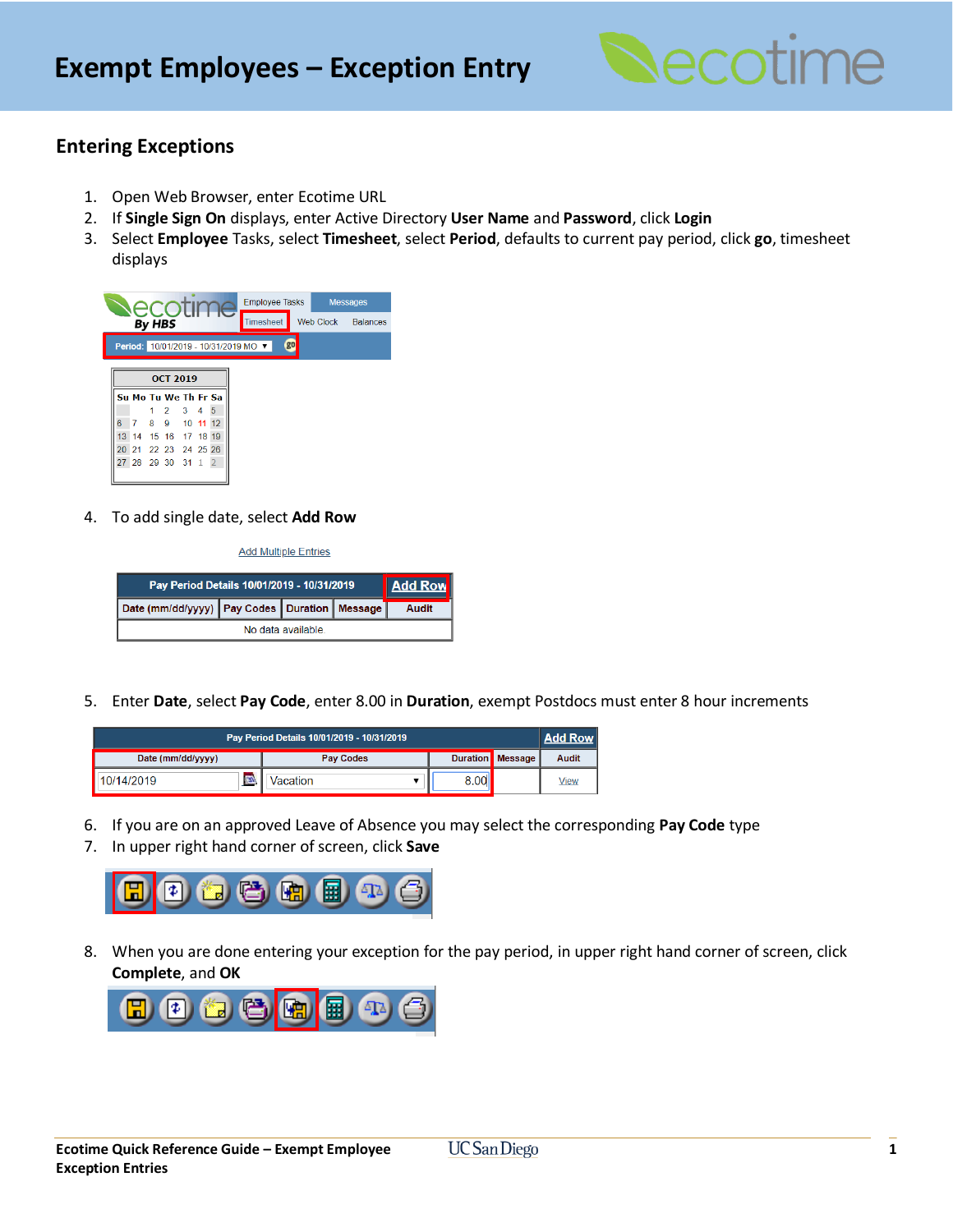

## **Entering Exceptions**

- 1. Open Web Browser, enter Ecotime URL
- 2. If **Single Sign On** displays, enter Active Directory **User Name** and **Password**, click **Login**
- 3. Select **Employee** Tasks, select **Timesheet**, select **Period**, defaults to current pay period, click **go**, timesheet displays

| NACO III<br>IU.                      |    |        |                      |  |            |  | <b>Employee Tasks</b> |  |                  | <b>Messages</b> |           |  |                 |
|--------------------------------------|----|--------|----------------------|--|------------|--|-----------------------|--|------------------|-----------------|-----------|--|-----------------|
|                                      |    | By HBS |                      |  |            |  |                       |  | <b>Timesheet</b> |                 | Web Clock |  | <b>Balances</b> |
| Period: 10/01/2019 - 10/31/2019 MO ▼ |    |        |                      |  |            |  |                       |  |                  | go              |           |  |                 |
| <b>OCT 2019</b>                      |    |        |                      |  |            |  |                       |  |                  |                 |           |  |                 |
| Su Mo Tu We Th Fr Sa                 |    |        |                      |  |            |  |                       |  |                  |                 |           |  |                 |
|                                      |    |        | $2 \quad 3$          |  | $4\quad 5$ |  |                       |  |                  |                 |           |  |                 |
| 6                                    |    |        | 7 8 9 10 11 12       |  |            |  |                       |  |                  |                 |           |  |                 |
| 13 <sup>°</sup>                      | 14 |        | 15 16 17 18 19       |  |            |  |                       |  |                  |                 |           |  |                 |
|                                      |    |        | 20 21 22 23 24 25 26 |  |            |  |                       |  |                  |                 |           |  |                 |
|                                      |    |        | 27 28 29 30 31 1 2   |  |            |  |                       |  |                  |                 |           |  |                 |
|                                      |    |        |                      |  |            |  |                       |  |                  |                 |           |  |                 |

4. To add single date, select **Add Row**

**Add Multiple Entries** 

| Pay Period Details 10/01/2019 - 10/31/2019         | <b>Add Row</b> |  |  |  |  |  |  |  |  |
|----------------------------------------------------|----------------|--|--|--|--|--|--|--|--|
| Date (mm/dd/yyyy)   Pay Codes   Duration   Message | Audit          |  |  |  |  |  |  |  |  |
| No data available                                  |                |  |  |  |  |  |  |  |  |

5. Enter **Date**, select **Pay Code**, enter 8.00 in **Duration**, exempt Postdocs must enter 8 hour increments

| Pay Period Details 10/01/2019 - 10/31/2019 |                  |  |                         |       |  |  |  |  |  |
|--------------------------------------------|------------------|--|-------------------------|-------|--|--|--|--|--|
| Date (mm/dd/yyyy)                          | <b>Pay Codes</b> |  | <b>Duration</b> Message | Audit |  |  |  |  |  |
| $\overline{m}$<br>10/14/2019               | Vacation         |  |                         | View  |  |  |  |  |  |

- 6. If you are on an approved Leave of Absence you may select the corresponding **Pay Code** type
- 7. In upper right hand corner of screen, click **Save**



8. When you are done entering your exception for the pay period, in upper right hand corner of screen, click **Complete**, and **OK**